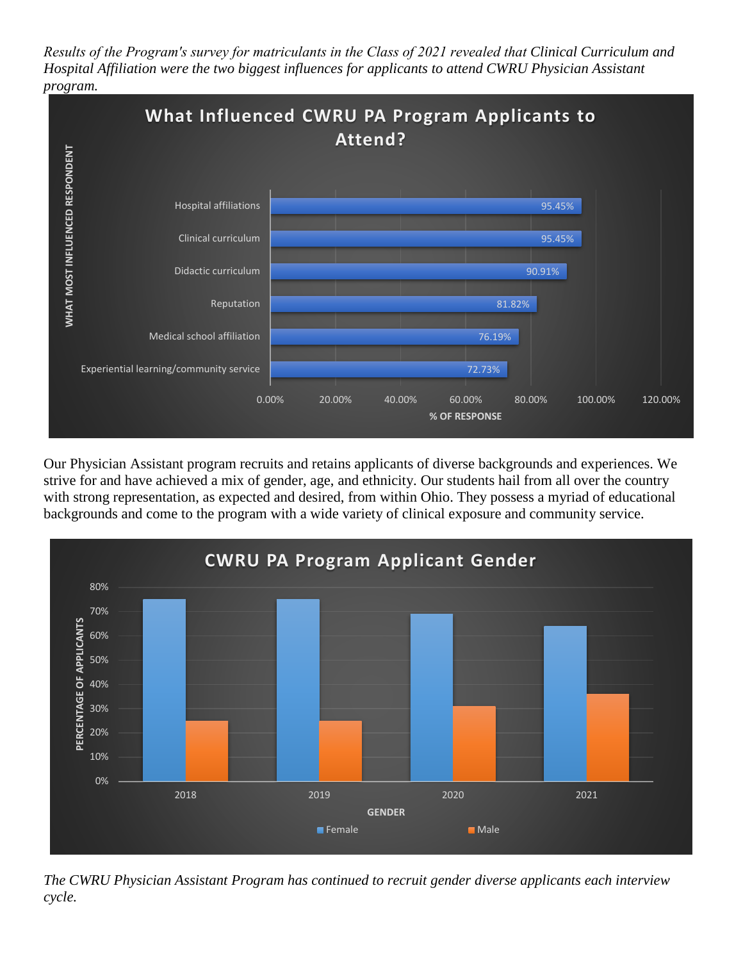*Results of the Program's survey for matriculants in the Class of 2021 revealed that Clinical Curriculum and Hospital Affiliation were the two biggest influences for applicants to attend CWRU Physician Assistant program.* 



Our Physician Assistant program recruits and retains applicants of diverse backgrounds and experiences. We strive for and have achieved a mix of gender, age, and ethnicity. Our students hail from all over the country with strong representation, as expected and desired, from within Ohio. They possess a myriad of educational backgrounds and come to the program with a wide variety of clinical exposure and community service.



*The CWRU Physician Assistant Program has continued to recruit gender diverse applicants each interview cycle.*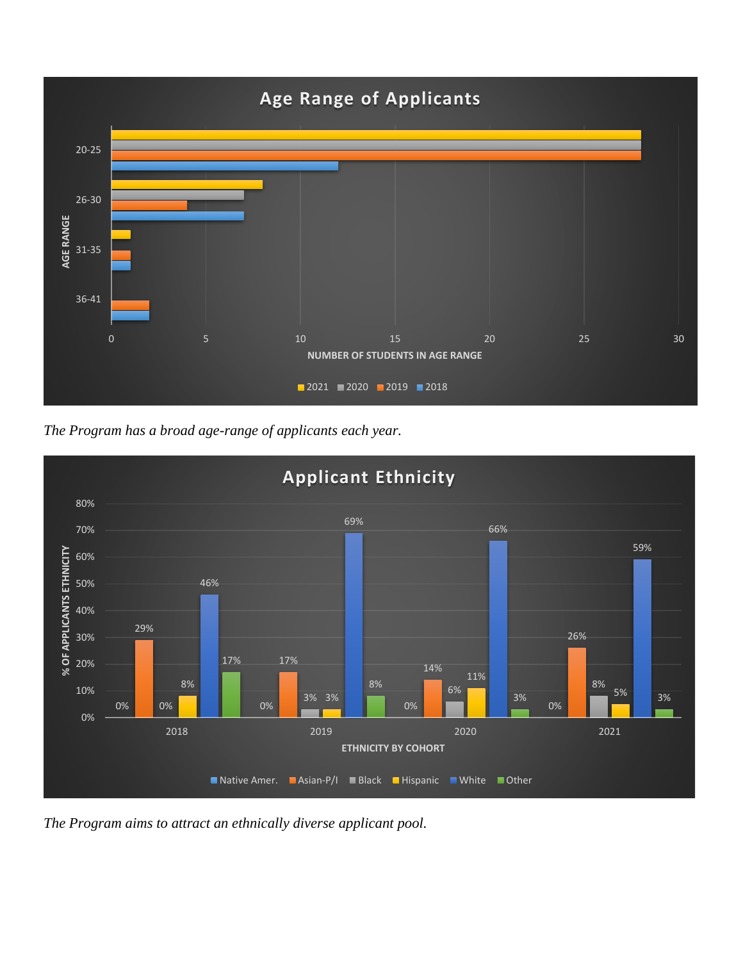

*The Program has a broad age-range of applicants each year.*



*The Program aims to attract an ethnically diverse applicant pool.*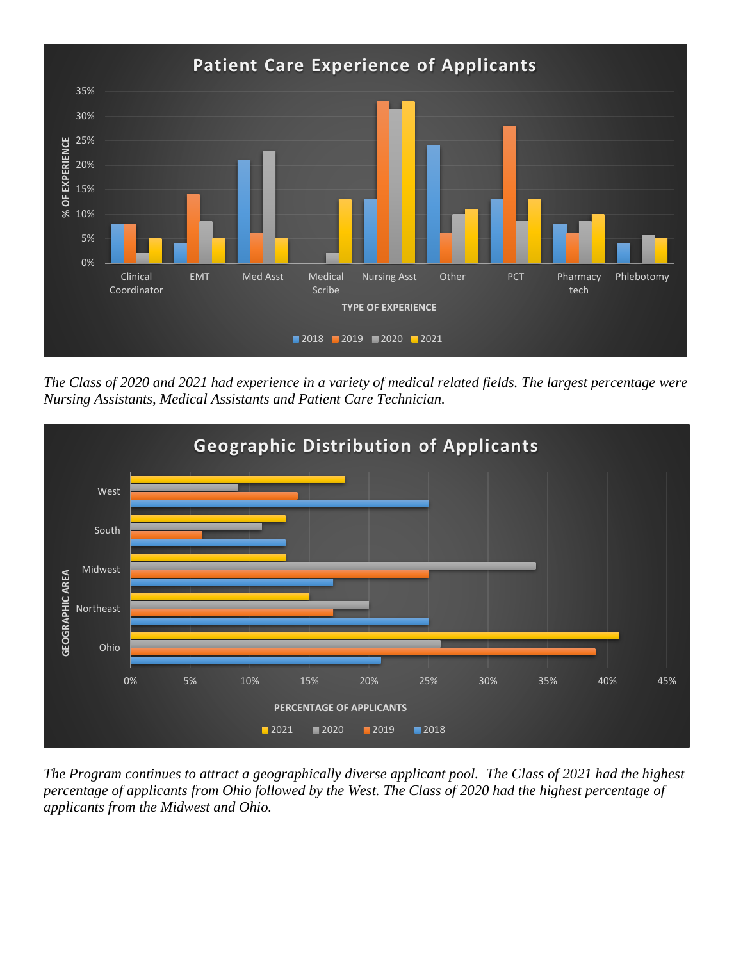

*The Class of 2020 and 2021 had experience in a variety of medical related fields. The largest percentage were Nursing Assistants, Medical Assistants and Patient Care Technician.*



*The Program continues to attract a geographically diverse applicant pool. The Class of 2021 had the highest percentage of applicants from Ohio followed by the West. The Class of 2020 had the highest percentage of applicants from the Midwest and Ohio.*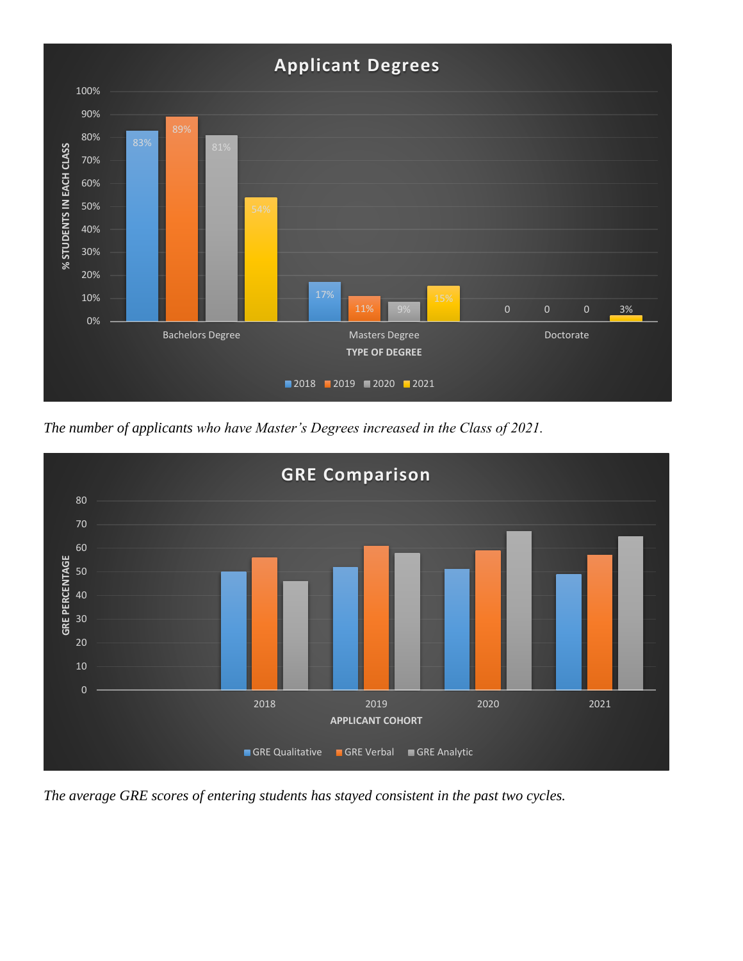

*The number of applicants who have Master's Degrees increased in the Class of 2021.*



*The average GRE scores of entering students has stayed consistent in the past two cycles.*